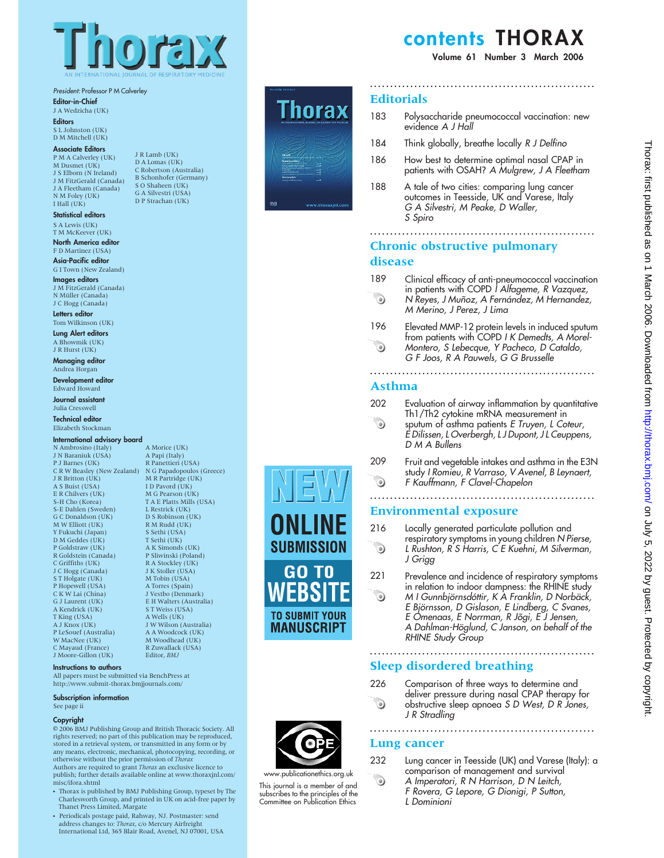

#### President: Professor P M Calverley

Editor-in-Chief

J A Wedzicha (UK) **Editors** S L Johnston (UK)

# D M Mitchell (UK)

Associate Editors P M A Calverley (UK) M Dusmet (UK) J S Elborn (N Ireland) J M FitzGerald (Canada) J A Fleetham (Canada) N M Foley (UK) I Hall (UK)

Statistical editors S A Lewis (UK) T M McKeever (UK)

North America editor F D Martinez (USA)

Asia-Pacific editor G I Town (New Zealand)

Images editors J M FitzGerald (Canada) N Müller (Canada)<br>J C Hogg (Canada)

Letters editor Tom Wilkinson (UK)

Lung Alert editors A Bhowmik (UK) J R Hurst (UK)

Managing editor Andrea Horgan

Development editor Edward Howard

Journal assistant Julia Cresswell

Technical editor Elizabeth Stockman

#### International advisory board

N Ambrosino (Italy) J N Baraniuk (USA) P J Barnes (UK) C R W Beasley (New Zealand) J R Britton (UK) N G Papadopoulos (Greece) M R Partridge (UK) A S Buist (USA) E R Chilvers (UK) S-H Cho (Korea) S-E Dahlen (Sweden) G C Donaldson (UK) M W Elliott (UK) Y Fukuchi (Japan) D M Geddes (UK) P Goldstraw (UK) R Goldstein (Canada) C Griffiths (UK) J C Hogg (Canada) S T Holgate (UK) P Hopewell (USA) C K W Lai (China) G J Laurent (UK) A Kendrick (UK) T King (USA) A J Knox (UK) P LeSouef (Australia) W MacNee (UK) C Mayaud (France) J Moore-Gillon (UK)

#### Instructions to authors

All papers must be submitted via BenchPress at http://www.submit-thorax.bmjjournals.com/

#### Subscription information

See page ii

#### Copyright

 $@$  2006 BMJ Publishing Group and British Thoracic Society. All rights reserved; no part of this publication may be reproduced, stored in a retrieval system, or transmitted in any form or by any means, electronic, mechanical, photocopying, recording, or otherwise without the prior permission of Thorax Authors are required to grant *Thorax* an exclusive licence to

publish; further details available online at www.thoraxjnl.com/ misc/ifora.shtml

- Thorax is published by BMJ Publishing Group, typeset by The  $\,$ Charlesworth Group, and printed in UK on acid-free paper by Thanet Press Limited, Margate
- Periodicals postage paid, Rahway, NJ. Postmaster: send address changes to: Thorax, c/o Mercury Airfreight International Ltd, 365 Blair Road, Avenel, NJ 07001, USA

J R Lamb (UK) D A Lomas (UK) C Robertson (Australia) B Schonhofer (Germany) S O Shaheen (UK) G A Silvestri (USA) D P Strachan (UK)

> A Morice (UK) A Papi (Italy) R Panettieri (USA)

I D Pavord (UK) M G Pearson (UK) T A E Platts Mills (USA) L Restrick (UK) D S Robinson (UK) R M Rudd (UK) S Sethi (USA) T Sethi (UK) A K Simonds (UK) P Sliwinski (Poland) R A Stockley (UK) J K Stoller (USA) M Tobin (USA) A Torres (Spain) J Vestbo (Denmark) E H Walters (Australia) S T Weiss (USA) A Wells (UK) J W Wilson (Australia) A A Woodcock (UK) M Woodhead (UK) R Zuwallack (USA) Editor, BMJ



# contents THORAX

Volume 61 Number 3 March 2006

### **Editorials**

- 183 Polysaccharide pneumococcal vaccination: new evidence A J Hall
- 184 Think globally, breathe locally R J Delfino
- 186 How best to determine optimal nasal CPAP in patients with OSAH? A Mulgrew, J A Fleetham
- 188 A tale of two cities: comparing lung cancer outcomes in Teesside, UK and Varese, Italy G A Silvestri, M Peake, D Waller, S Spiro

........................................................

# Chronic obstructive pulmonary

## disease

- 189 Clinical efficacy of anti-pneumococcal vaccination in patients with COPD *I Alfageme, R Vazquez,*
- $\odot$ N Reyes, J Muñoz, A Fernández, M Hernandez, M Merino, J Perez, J Lima
- 196 Elevated MMP-12 protein levels in induced sputum from patients with COPD I K Demedts, A Morel- $\odot$ Montero, S Lebecque, Y Pacheco, D Cataldo,

G F Joos, R A Pauwels, G G Brusselle

#### ........................................................ Asthma

- 202 Evaluation of airway inflammation by quantitative
- Th1/Th2 cytokine mRNA measurement in  $\odot$ sputum of asthma patients E Truyen, L Coteur, E Dilissen, L Overbergh, L J Dupont, J L Ceuppens, D M A Bullens
- 209 Fruit and vegetable intakes and asthma in the E3N study I Romieu, R Varraso, V Avenel, B Leynaert,  $\ddot{\circ}$ F Kauffmann, F Clavel-Chapelon

## ........................................................

216 Locally generated particulate pollution and

### Environmental exposure

J Grigg

 $\odot$ 

 on July 5, 2022 by guest. Protected by copyright. <http://thorax.bmj.com/> Thorax: first published as on 1 March 2006. Downloaded from on 1 March 2006. Downloaded trong the high only 5, 2022 by guest. Protected by copyright

Thorax: first published as

221 Prevalence and incidence of respiratory symptoms in relation to indoor dampness: the RHINE study  $\odot$ M I Gunnbjörnsdóttir, K A Franklin, D Norbäck,

respiratory symptoms in young children N Pierse, L Rushton, R S Harris, C E Kuehni, M Silverman,

E Björnsson, D Gislason, E Lindberg, C Svanes, E Omenaas, E Norrman, R Jõgi, E J Jensen, A Dahlman-Höglund, C Janson, on behalf of the RHINE Study Group

# Sleep disordered breathing

226 Comparison of three ways to determine and deliver pressure during nasal CPAP therapy for  $\odot$ obstructive sleep apnoea S D West, D R Jones, J R Stradling

........................................................

........................................................

## Lung cancer

- 232 Lung cancer in Teesside (UK) and Varese (Italy): a comparison of management and survival
	- A Imperatori, R N Harrison, D N Leitch,
	- F Rovera, G Lepore, G Dionigi, P Sutton,
	- L Dominioni
- $\odot$ This journal is a member of and subscribes to the principles of the

w.publicationethics.org.uk

**SUBMISSION** 

GO TO **FRSI** 

**TO SUBMIT YOUR MANUSCRIPT** 

Committee on Publication Ethics